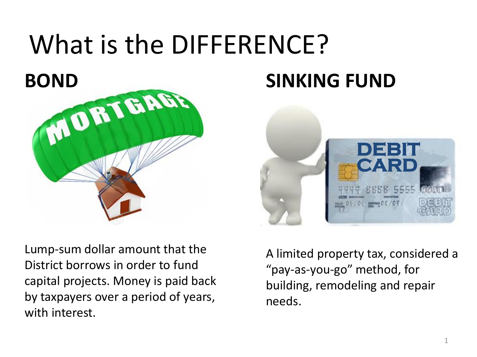# What is the DIFFERENCE?



### **SINKING FUND**



Lump-sum dollar amount that the District borrows in order to fund capital projects. Money is paid back by taxpayers over a period of years, with interest.

A limited property tax, considered a "pay-as-you-go" method, for building, remodeling and repair needs.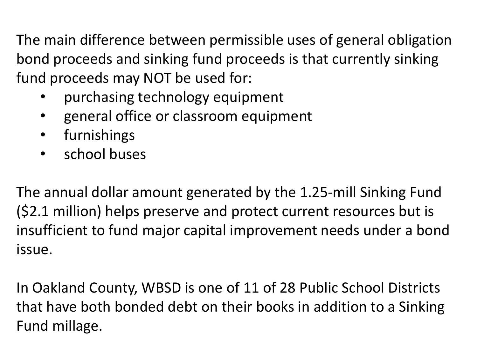The main difference between permissible uses of general obligation bond proceeds and sinking fund proceeds is that currently sinking fund proceeds may NOT be used for:

- purchasing technology equipment
- general office or classroom equipment
- furnishings
- school buses

The annual dollar amount generated by the 1.25-mill Sinking Fund (\$2.1 million) helps preserve and protect current resources but is insufficient to fund major capital improvement needs under a bond issue.

In Oakland County, WBSD is one of 11 of 28 Public School Districts that have both bonded debt on their books in addition to a Sinking Fund millage.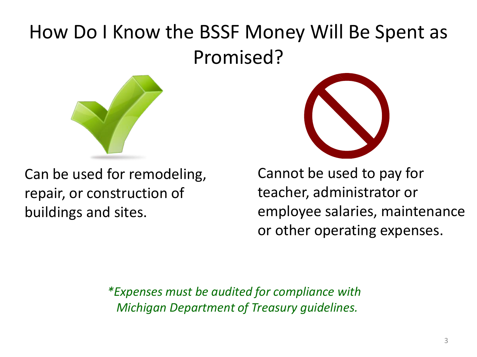## How Do I Know the BSSF Money Will Be Spent as Promised?



Can be used for remodeling, repair, or construction of buildings and sites.



Cannot be used to pay for teacher, administrator or employee salaries, maintenance or other operating expenses.

*\*Expenses must be audited for compliance with Michigan Department of Treasury guidelines.*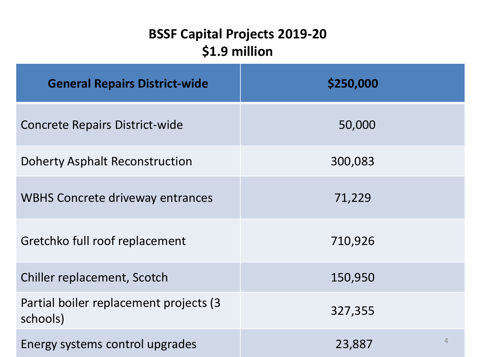### **BSSF Capital Projects 2019-20 \$1.9 million**

| <b>General Repairs District-wide</b>                | \$250,000                |
|-----------------------------------------------------|--------------------------|
| <b>Concrete Repairs District-wide</b>               | 50,000                   |
| <b>Doherty Asphalt Reconstruction</b>               | 300,083                  |
| <b>WBHS Concrete driveway entrances</b>             | 71,229                   |
| Gretchko full roof replacement                      | 710,926                  |
| Chiller replacement, Scotch                         | 150,950                  |
| Partial boiler replacement projects (3)<br>schools) | 327,355                  |
| Energy systems control upgrades                     | $\overline{4}$<br>23,887 |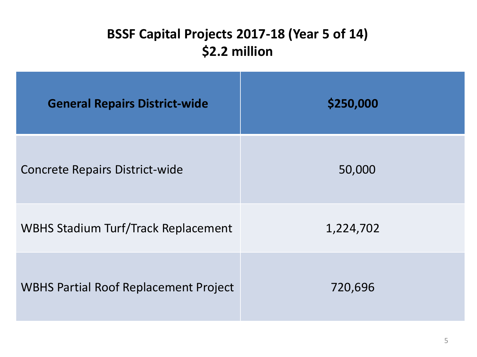### **BSSF Capital Projects 2017-18 (Year 5 of 14) \$2.2 million**

| <b>General Repairs District-wide</b>         | \$250,000 |
|----------------------------------------------|-----------|
| <b>Concrete Repairs District-wide</b>        | 50,000    |
| <b>WBHS Stadium Turf/Track Replacement</b>   | 1,224,702 |
| <b>WBHS Partial Roof Replacement Project</b> | 720,696   |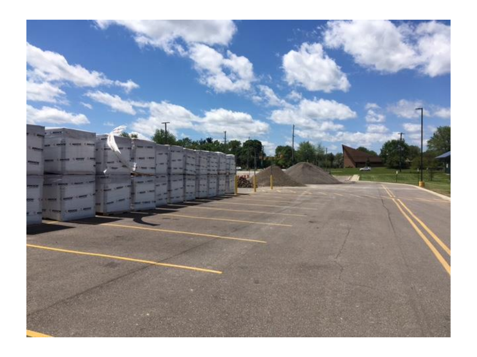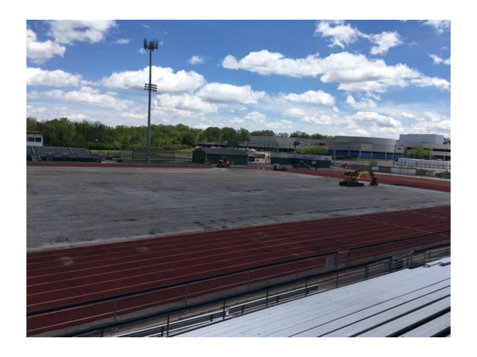